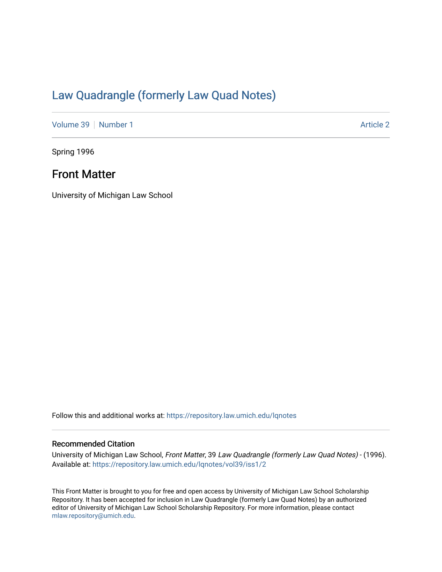# [Law Quadrangle \(formerly Law Quad Notes\)](https://repository.law.umich.edu/lqnotes)

[Volume 39](https://repository.law.umich.edu/lqnotes/vol39) [Number 1](https://repository.law.umich.edu/lqnotes/vol39/iss1) [Article 2](https://repository.law.umich.edu/lqnotes/vol39/iss1/2) Article 2

Spring 1996

# Front Matter

University of Michigan Law School

Follow this and additional works at: [https://repository.law.umich.edu/lqnotes](https://repository.law.umich.edu/lqnotes?utm_source=repository.law.umich.edu%2Flqnotes%2Fvol39%2Fiss1%2F2&utm_medium=PDF&utm_campaign=PDFCoverPages) 

## Recommended Citation

University of Michigan Law School, Front Matter, 39 Law Quadrangle (formerly Law Quad Notes) - (1996). Available at: [https://repository.law.umich.edu/lqnotes/vol39/iss1/2](https://repository.law.umich.edu/lqnotes/vol39/iss1/2?utm_source=repository.law.umich.edu%2Flqnotes%2Fvol39%2Fiss1%2F2&utm_medium=PDF&utm_campaign=PDFCoverPages) 

This Front Matter is brought to you for free and open access by University of Michigan Law School Scholarship Repository. It has been accepted for inclusion in Law Quadrangle (formerly Law Quad Notes) by an authorized editor of University of Michigan Law School Scholarship Repository. For more information, please contact [mlaw.repository@umich.edu.](mailto:mlaw.repository@umich.edu)